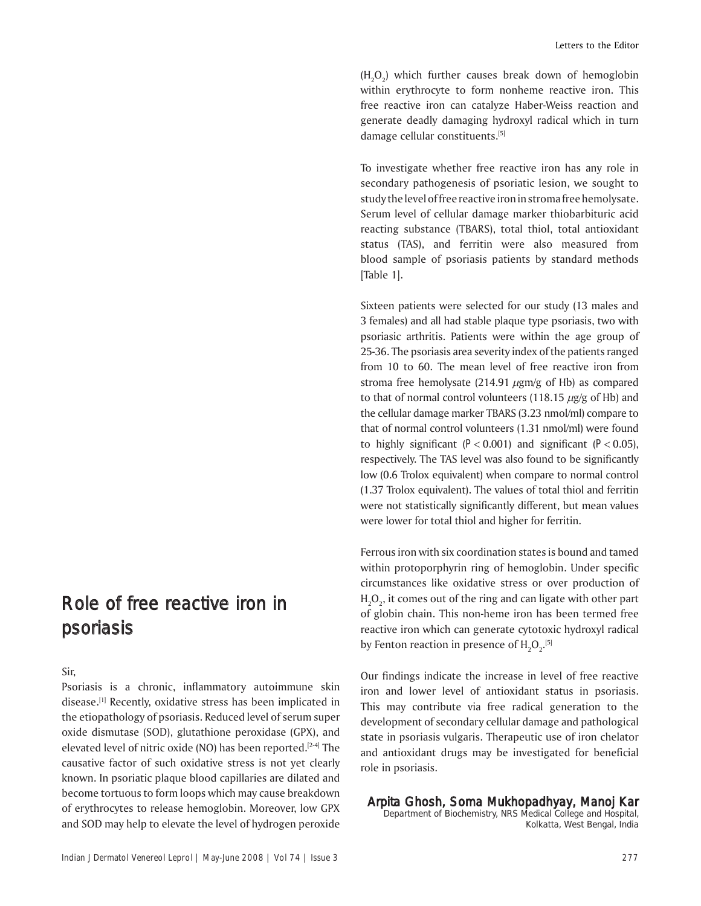$(H_2O_2)$  which further causes break down of hemoglobin within erythrocyte to form nonheme reactive iron. This free reactive iron can catalyze Haber-Weiss reaction and generate deadly damaging hydroxyl radical which in turn damage cellular constituents.[5]

To investigate whether free reactive iron has any role in secondary pathogenesis of psoriatic lesion, we sought to study the level of free reactive iron in stroma free hemolysate. Serum level of cellular damage marker thiobarbituric acid reacting substance (TBARS), total thiol, total antioxidant status (TAS), and ferritin were also measured from blood sample of psoriasis patients by standard methods [Table 1].

Sixteen patients were selected for our study (13 males and 3 females) and all had stable plaque type psoriasis, two with psoriasic arthritis. Patients were within the age group of 25-36. The psoriasis area severity index of the patients ranged from 10 to 60. The mean level of free reactive iron from stroma free hemolysate (214.91  $\mu$ gm/g of Hb) as compared to that of normal control volunteers (118.15  $\mu$ g/g of Hb) and the cellular damage marker TBARS (3.23 nmol/ml) compare to that of normal control volunteers (1.31 nmol/ml) were found to highly significant  $(P < 0.001)$  and significant  $(P < 0.05)$ , respectively. The TAS level was also found to be significantly low (0.6 Trolox equivalent) when compare to normal control (1.37 Trolox equivalent). The values of total thiol and ferritin were not statistically significantly different, but mean values were lower for total thiol and higher for ferritin.

Ferrous iron with six coordination states is bound and tamed within protoporphyrin ring of hemoglobin. Under specific circumstances like oxidative stress or over production of  $\rm H_2O_2$ , it comes out of the ring and can ligate with other part of globin chain. This non-heme iron has been termed free reactive iron which can generate cytotoxic hydroxyl radical by Fenton reaction in presence of  $\mathrm{H_2O}_{2^\star}$ <sup>[5]</sup>

Our findings indicate the increase in level of free reactive iron and lower level of antioxidant status in psoriasis. This may contribute via free radical generation to the development of secondary cellular damage and pathological state in psoriasis vulgaris. Therapeutic use of iron chelator and antioxidant drugs may be investigated for beneficial role in psoriasis.

Arpita Ghosh, Soma Mukhopadhyay, Manoj Kar Department of Biochemistry, NRS Medical College and Hospital,

Kolkatta, West Bengal, India

## Role of free reactive iron in psoriasis

Sir,

Psoriasis is a chronic, inflammatory autoimmune skin disease.<sup>[1]</sup> Recently, oxidative stress has been implicated in the etiopathology of psoriasis. Reduced level of serum super oxide dismutase (SOD), glutathione peroxidase (GPX), and elevated level of nitric oxide (NO) has been reported.<sup>[2-4]</sup> The causative factor of such oxidative stress is not yet clearly known. In psoriatic plaque blood capillaries are dilated and become tortuous to form loops which may cause breakdown of erythrocytes to release hemoglobin. Moreover, low GPX and SOD may help to elevate the level of hydrogen peroxide